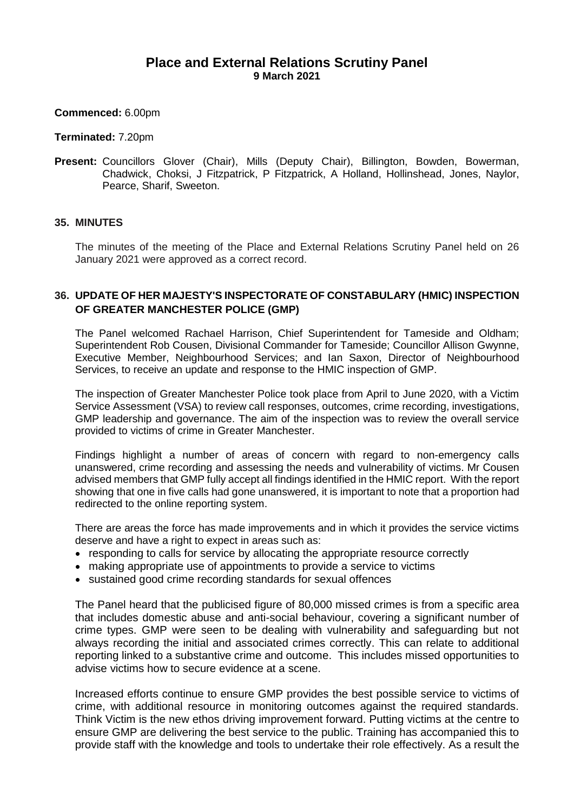# **Place and External Relations Scrutiny Panel 9 March 2021**

### **Commenced:** 6.00pm

#### **Terminated:** 7.20pm

**Present:** Councillors Glover (Chair), Mills (Deputy Chair), Billington, Bowden, Bowerman, Chadwick, Choksi, J Fitzpatrick, P Fitzpatrick, A Holland, Hollinshead, Jones, Naylor, Pearce, Sharif, Sweeton.

### **35. MINUTES**

The minutes of the meeting of the Place and External Relations Scrutiny Panel held on 26 January 2021 were approved as a correct record.

## **36. UPDATE OF HER MAJESTY'S INSPECTORATE OF CONSTABULARY (HMIC) INSPECTION OF GREATER MANCHESTER POLICE (GMP)**

The Panel welcomed Rachael Harrison, Chief Superintendent for Tameside and Oldham; Superintendent Rob Cousen, Divisional Commander for Tameside; Councillor Allison Gwynne, Executive Member, Neighbourhood Services; and Ian Saxon, Director of Neighbourhood Services, to receive an update and response to the HMIC inspection of GMP.

The inspection of Greater Manchester Police took place from April to June 2020, with a Victim Service Assessment (VSA) to review call responses, outcomes, crime recording, investigations, GMP leadership and governance. The aim of the inspection was to review the overall service provided to victims of crime in Greater Manchester.

Findings highlight a number of areas of concern with regard to non-emergency calls unanswered, crime recording and assessing the needs and vulnerability of victims. Mr Cousen advised members that GMP fully accept all findings identified in the HMIC report. With the report showing that one in five calls had gone unanswered, it is important to note that a proportion had redirected to the online reporting system.

There are areas the force has made improvements and in which it provides the service victims deserve and have a right to expect in areas such as:

- responding to calls for service by allocating the appropriate resource correctly
- making appropriate use of appointments to provide a service to victims
- sustained good crime recording standards for sexual offences

The Panel heard that the publicised figure of 80,000 missed crimes is from a specific area that includes domestic abuse and anti-social behaviour, covering a significant number of crime types. GMP were seen to be dealing with vulnerability and safeguarding but not always recording the initial and associated crimes correctly. This can relate to additional reporting linked to a substantive crime and outcome. This includes missed opportunities to advise victims how to secure evidence at a scene.

Increased efforts continue to ensure GMP provides the best possible service to victims of crime, with additional resource in monitoring outcomes against the required standards. Think Victim is the new ethos driving improvement forward. Putting victims at the centre to ensure GMP are delivering the best service to the public. Training has accompanied this to provide staff with the knowledge and tools to undertake their role effectively. As a result the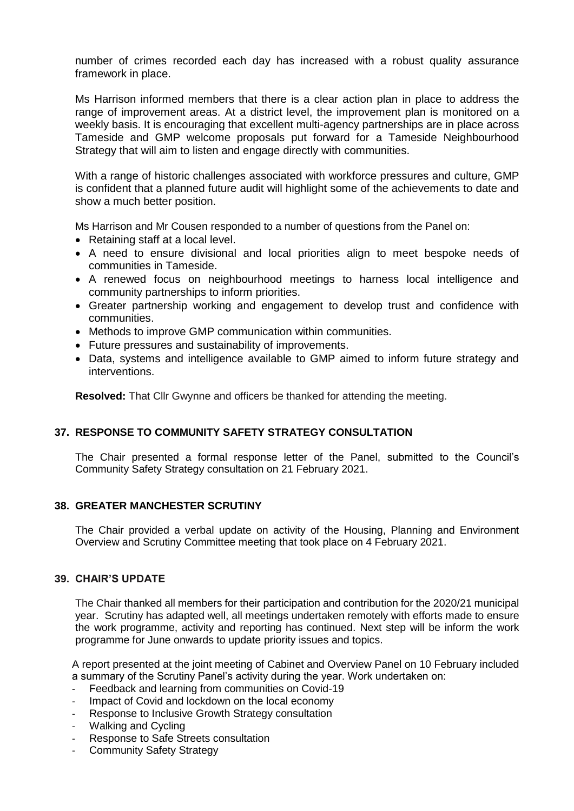number of crimes recorded each day has increased with a robust quality assurance framework in place.

Ms Harrison informed members that there is a clear action plan in place to address the range of improvement areas. At a district level, the improvement plan is monitored on a weekly basis. It is encouraging that excellent multi-agency partnerships are in place across Tameside and GMP welcome proposals put forward for a Tameside Neighbourhood Strategy that will aim to listen and engage directly with communities.

With a range of historic challenges associated with workforce pressures and culture, GMP is confident that a planned future audit will highlight some of the achievements to date and show a much better position.

Ms Harrison and Mr Cousen responded to a number of questions from the Panel on:

- Retaining staff at a local level.
- A need to ensure divisional and local priorities align to meet bespoke needs of communities in Tameside.
- A renewed focus on neighbourhood meetings to harness local intelligence and community partnerships to inform priorities.
- Greater partnership working and engagement to develop trust and confidence with communities.
- Methods to improve GMP communication within communities.
- Future pressures and sustainability of improvements.
- Data, systems and intelligence available to GMP aimed to inform future strategy and interventions.

**Resolved:** That Cllr Gwynne and officers be thanked for attending the meeting.

## **37. RESPONSE TO COMMUNITY SAFETY STRATEGY CONSULTATION**

The Chair presented a formal response letter of the Panel, submitted to the Council's Community Safety Strategy consultation on 21 February 2021.

## **38. GREATER MANCHESTER SCRUTINY**

The Chair provided a verbal update on activity of the Housing, Planning and Environment Overview and Scrutiny Committee meeting that took place on 4 February 2021.

#### **39. CHAIR'S UPDATE**

The Chair thanked all members for their participation and contribution for the 2020/21 municipal year. Scrutiny has adapted well, all meetings undertaken remotely with efforts made to ensure the work programme, activity and reporting has continued. Next step will be inform the work programme for June onwards to update priority issues and topics.

A report presented at the joint meeting of Cabinet and Overview Panel on 10 February included a summary of the Scrutiny Panel's activity during the year. Work undertaken on:

- Feedback and learning from communities on Covid-19
- Impact of Covid and lockdown on the local economy
- Response to Inclusive Growth Strategy consultation
- Walking and Cycling
- Response to Safe Streets consultation
- Community Safety Strategy